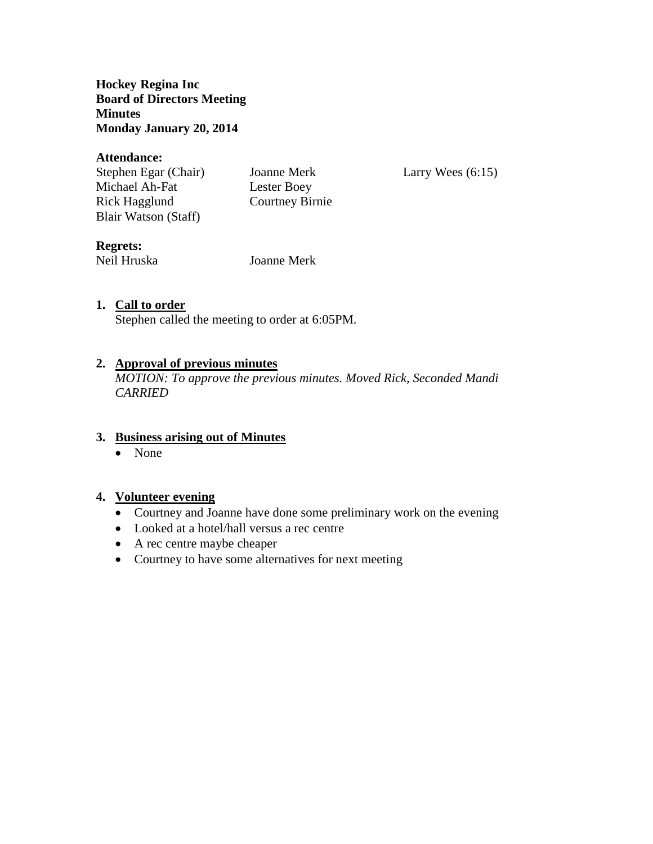**Hockey Regina Inc Board of Directors Meeting Minutes Monday January 20, 2014**

### **Attendance:**

Stephen Egar (Chair) Joanne Merk Larry Wees (6:15) Michael Ah-Fat Lester Boey Rick Hagglund Courtney Birnie Blair Watson (Staff)

## **Regrets:**

Neil Hruska Joanne Merk

## **1. Call to order**

Stephen called the meeting to order at 6:05PM.

### **2. Approval of previous minutes**

*MOTION: To approve the previous minutes. Moved Rick, Seconded Mandi CARRIED*

### **3. Business arising out of Minutes**

• None

### **4. Volunteer evening**

- Courtney and Joanne have done some preliminary work on the evening
- Looked at a hotel/hall versus a rec centre
- A rec centre maybe cheaper
- Courtney to have some alternatives for next meeting